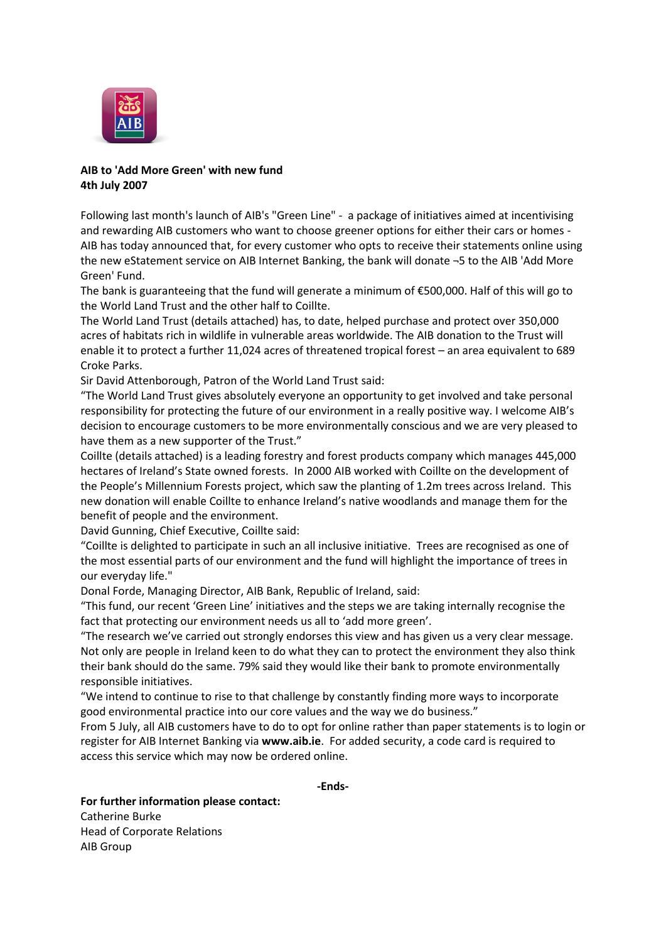

# **AIB to 'Add More Green' with new fund 4th July 2007**

Following last month's launch of AIB's "Green Line" - a package of initiatives aimed at incentivising and rewarding AIB customers who want to choose greener options for either their cars or homes - AIB has today announced that, for every customer who opts to receive their statements online using the new eStatement service on AIB Internet Banking, the bank will donate ¬5 to the AIB 'Add More Green' Fund.

The bank is guaranteeing that the fund will generate a minimum of €500,000. Half of this will go to the World Land Trust and the other half to Coillte.

The World Land Trust (details attached) has, to date, helped purchase and protect over 350,000 acres of habitats rich in wildlife in vulnerable areas worldwide. The AIB donation to the Trust will enable it to protect a further 11,024 acres of threatened tropical forest – an area equivalent to 689 Croke Parks.

Sir David Attenborough, Patron of the World Land Trust said:

"The World Land Trust gives absolutely everyone an opportunity to get involved and take personal responsibility for protecting the future of our environment in a really positive way. I welcome AIB's decision to encourage customers to be more environmentally conscious and we are very pleased to have them as a new supporter of the Trust."

Coillte (details attached) is a leading forestry and forest products company which manages 445,000 hectares of Ireland's State owned forests. In 2000 AIB worked with Coillte on the development of the People's Millennium Forests project, which saw the planting of 1.2m trees across Ireland. This new donation will enable Coillte to enhance Ireland's native woodlands and manage them for the benefit of people and the environment.

David Gunning, Chief Executive, Coillte said:

"Coillte is delighted to participate in such an all inclusive initiative. Trees are recognised as one of the most essential parts of our environment and the fund will highlight the importance of trees in our everyday life."

Donal Forde, Managing Director, AIB Bank, Republic of Ireland, said:

"This fund, our recent 'Green Line' initiatives and the steps we are taking internally recognise the fact that protecting our environment needs us all to 'add more green'.

"The research we've carried out strongly endorses this view and has given us a very clear message. Not only are people in Ireland keen to do what they can to protect the environment they also think their bank should do the same. 79% said they would like their bank to promote environmentally responsible initiatives.

"We intend to continue to rise to that challenge by constantly finding more ways to incorporate good environmental practice into our core values and the way we do business."

From 5 July, all AIB customers have to do to opt for online rather than paper statements is to login or register for AIB Internet Banking via **[www.aib.ie](http://www.aib.ie/)**. For added security, a code card is required to access this service which may now be ordered online.

**-Ends-**

**For further information please contact:** Catherine Burke Head of Corporate Relations AIB Group